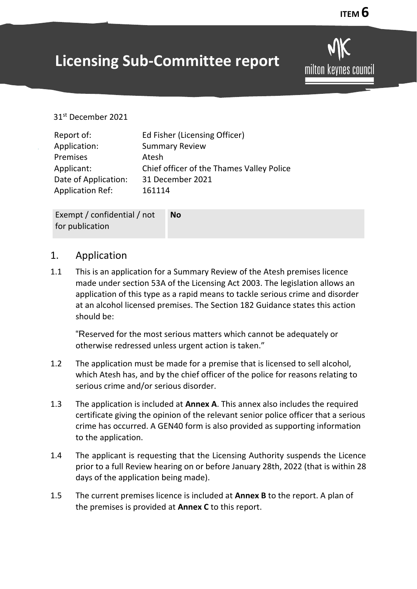# **Licensing Sub-Committee report**

milton keynes council

#### 31st December 2021

| Report of:              | Ed Fisher (Licensing Officer)             |
|-------------------------|-------------------------------------------|
| Application:            | <b>Summary Review</b>                     |
| Premises                | Atesh                                     |
| Applicant:              | Chief officer of the Thames Valley Police |
| Date of Application:    | 31 December 2021                          |
| <b>Application Ref:</b> | 161114                                    |

Exempt / confidential / not for publication **No**

#### 1. Application

1.1 This is an application for a Summary Review of the Atesh premises licence made under section 53A of the Licensing Act 2003. The legislation allows an application of this type as a rapid means to tackle serious crime and disorder at an alcohol licensed premises. The Section 182 Guidance states this action should be:

"Reserved for the most serious matters which cannot be adequately or otherwise redressed unless urgent action is taken."

- 1.2 The application must be made for a premise that is licensed to sell alcohol, which Atesh has, and by the chief officer of the police for reasons relating to serious crime and/or serious disorder.
- 1.3 The application is included at **Annex A**. This annex also includes the required certificate giving the opinion of the relevant senior police officer that a serious crime has occurred. A GEN40 form is also provided as supporting information to the application.
- 1.4 The applicant is requesting that the Licensing Authority suspends the Licence prior to a full Review hearing on or before January 28th, 2022 (that is within 28 days of the application being made).
- 1.5 The current premises licence is included at **Annex B** to the report. A plan of the premises is provided at **Annex C** to this report.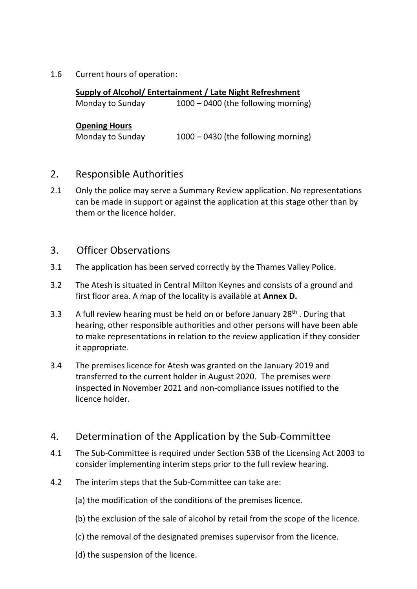1.6 Current hours of operation:

| Supply of Alcohol/ Entertainment / Late Night Refreshment |                                       |
|-----------------------------------------------------------|---------------------------------------|
| Monday to Sunday                                          | $1000 - 0400$ (the following morning) |
| <b>Opening Hours</b>                                      |                                       |
| Monday to Sunday                                          | 1000 - 0430 (the following morning)   |

## 2. Responsible Authorities

2.1 Only the police may serve a Summary Review application. No representations can be made in support or against the application at this stage other than by them or the licence holder.

## 3. Officer Observations

- 3.1The application has been served correctly by the Thames Valley Police.
- 3.2 The Atesh is situated in Central Milton Keynes and consists of a ground and first floor area. A map of the locality is available at **Annex D.**
- 3.3 A full review hearing must be held on or before January  $28<sup>th</sup>$ . During that hearing, other responsible authorities and other persons will have been able to make representations in relation to the review application if they consider it appropriate.
- 3.4 The premises licence for Atesh was granted on the January 2019 and transferred to the current holder in August 2020. The premises were inspected in November 2021 and non-compliance issues notified to the licence holder.

## 4. Determination of the Application by the Sub-Committee

- 4.1 The Sub-Committee is required under Section 53B of the Licensing Act 2003 to consider implementing interim steps prior to the full review hearing.
- 4.2 The interim steps that the Sub-Committee can take are:
	- (a) the modification of the conditions of the premises licence.
	- (b) the exclusion of the sale of alcohol by retail from the scope of the licence.
	- (c) the removal of the designated premises supervisor from the licence.
	- (d) the suspension of the licence.